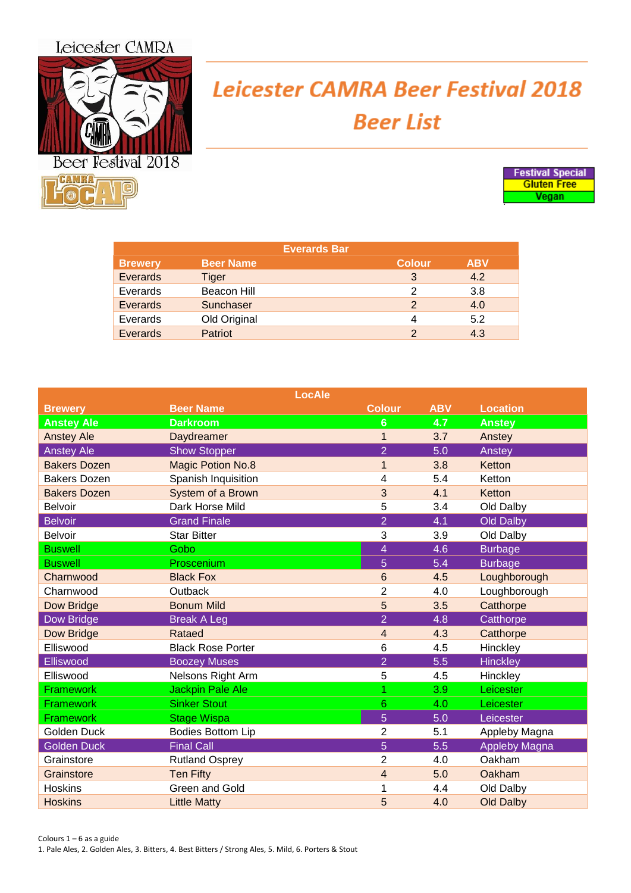## Leicester CAMRA



## **Leicester CAMRA Beer Festival 2018 Beer List**



| <b>Everards Bar</b> |                  |               |            |  |
|---------------------|------------------|---------------|------------|--|
| <b>Brewery</b>      | <b>Beer Name</b> | <b>Colour</b> | <b>ABV</b> |  |
| <b>Everards</b>     | Tiger            | 3             | 4.2        |  |
| Everards            | Beacon Hill      | 2             | 3.8        |  |
| Everards            | Sunchaser        | $\mathcal{P}$ | 4.0        |  |
| Everards            | Old Original     | 4             | 5.2        |  |
| Everards            | <b>Patriot</b>   | $\mathcal{D}$ | 4.3        |  |

| <b>LocAle</b>       |                          |                |            |                      |  |
|---------------------|--------------------------|----------------|------------|----------------------|--|
| <b>Brewery</b>      | <b>Beer Name</b>         | <b>Colour</b>  | <b>ABV</b> | <b>Location</b>      |  |
| <b>Anstey Ale</b>   | <b>Darkroom</b>          | 6              | 4.7        | <b>Anstey</b>        |  |
| <b>Anstey Ale</b>   | <b>Daydreamer</b>        | $\mathbf{1}$   | 3.7        | Anstey               |  |
| <b>Anstey Ale</b>   | <b>Show Stopper</b>      | $\overline{2}$ | 5.0        | Anstey               |  |
| <b>Bakers Dozen</b> | <b>Magic Potion No.8</b> | $\mathbf{1}$   | 3.8        | Ketton               |  |
| <b>Bakers Dozen</b> | Spanish Inquisition      | 4              | 5.4        | Ketton               |  |
| <b>Bakers Dozen</b> | System of a Brown        | 3              | 4.1        | Ketton               |  |
| <b>Belvoir</b>      | Dark Horse Mild          | 5              | 3.4        | Old Dalby            |  |
| <b>Belvoir</b>      | <b>Grand Finale</b>      | $\overline{2}$ | 4.1        | <b>Old Dalby</b>     |  |
| <b>Belvoir</b>      | <b>Star Bitter</b>       | 3              | 3.9        | Old Dalby            |  |
| <b>Buswell</b>      | Gobo                     | 4              | 4.6        | <b>Burbage</b>       |  |
| <b>Buswell</b>      | Proscenium               | 5              | 5.4        | <b>Burbage</b>       |  |
| Charnwood           | <b>Black Fox</b>         | 6              | 4.5        | Loughborough         |  |
| Charnwood           | Outback                  | 2              | 4.0        | Loughborough         |  |
| Dow Bridge          | <b>Bonum Mild</b>        | 5              | 3.5        | Catthorpe            |  |
| Dow Bridge          | <b>Break A Leg</b>       | $\overline{2}$ | 4.8        | Catthorpe            |  |
| <b>Dow Bridge</b>   | Rataed                   | 4              | 4.3        | Catthorpe            |  |
| Elliswood           | <b>Black Rose Porter</b> | 6              | 4.5        | Hinckley             |  |
| Elliswood           | <b>Boozey Muses</b>      | $\overline{2}$ | 5.5        | <b>Hinckley</b>      |  |
| Elliswood           | Nelsons Right Arm        | 5              | 4.5        | Hinckley             |  |
| Framework           | Jackpin Pale Ale         | 1              | 3.9        | Leicester            |  |
| Framework           | <b>Sinker Stout</b>      | 6              | 4.0        | Leicester            |  |
| Framework           | <b>Stage Wispa</b>       | 5              | 5.0        | Leicester            |  |
| Golden Duck         | <b>Bodies Bottom Lip</b> | 2              | 5.1        | Appleby Magna        |  |
| <b>Golden Duck</b>  | <b>Final Call</b>        | 5              | 5.5        | <b>Appleby Magna</b> |  |
| Grainstore          | <b>Rutland Osprey</b>    | $\overline{2}$ | 4.0        | Oakham               |  |
| Grainstore          | <b>Ten Fifty</b>         | 4              | 5.0        | Oakham               |  |
| <b>Hoskins</b>      | Green and Gold           |                | 4.4        | Old Dalby            |  |
| <b>Hoskins</b>      | <b>Little Matty</b>      | 5              | 4.0        | <b>Old Dalby</b>     |  |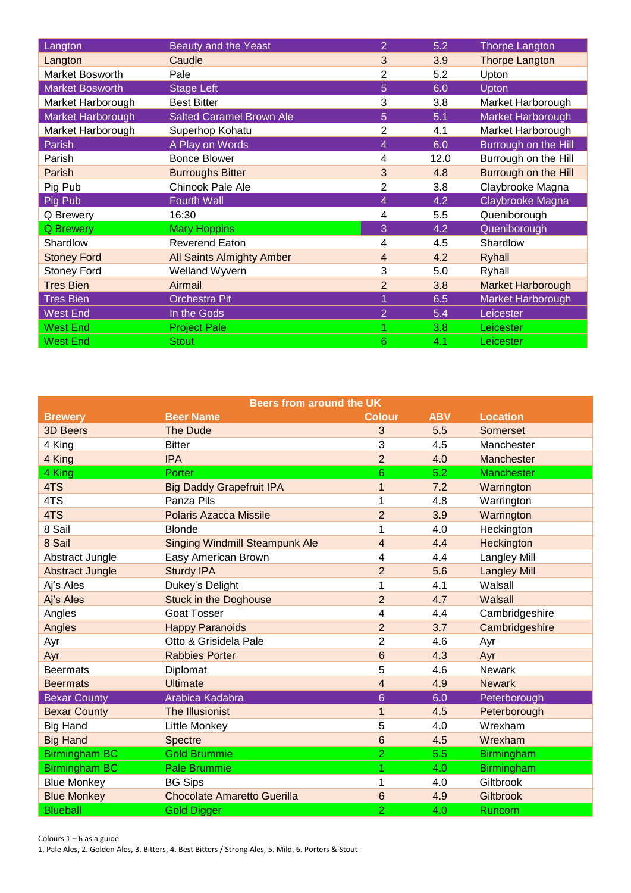| Langton                | Beauty and the Yeast             | $\overline{2}$ | 5.2  | Thorpe Langton           |
|------------------------|----------------------------------|----------------|------|--------------------------|
| Langton                | Caudle                           | 3              | 3.9  | Thorpe Langton           |
| Market Bosworth        | Pale                             | $\overline{2}$ | 5.2  | Upton                    |
| <b>Market Bosworth</b> | Stage Left                       | 5              | 6.0  | Upton                    |
| Market Harborough      | <b>Best Bitter</b>               | 3              | 3.8  | Market Harborough        |
| Market Harborough      | <b>Salted Caramel Brown Ale</b>  | 5              | 5.1  | Market Harborough        |
| Market Harborough      | Superhop Kohatu                  | 2              | 4.1  | Market Harborough        |
| Parish                 | A Play on Words                  | 4              | 6.0  | Burrough on the Hill     |
| Parish                 | <b>Bonce Blower</b>              | 4              | 12.0 | Burrough on the Hill     |
| Parish                 | <b>Burroughs Bitter</b>          | 3              | 4.8  | Burrough on the Hill     |
| Pig Pub                | Chinook Pale Ale                 | $\overline{2}$ | 3.8  | Claybrooke Magna         |
| Pig Pub                | <b>Fourth Wall</b>               | 4              | 4.2  | Claybrooke Magna         |
| Q Brewery              | 16:30                            | 4              | 5.5  | Queniborough             |
| <b>Q</b> Brewery       | <b>Mary Hoppins</b>              | 3              | 4.2  | Queniborough             |
| Shardlow               | <b>Reverend Eaton</b>            | 4              | 4.5  | Shardlow                 |
| <b>Stoney Ford</b>     | <b>All Saints Almighty Amber</b> | 4              | 4.2  | <b>Ryhall</b>            |
| <b>Stoney Ford</b>     | Welland Wyvern                   | 3              | 5.0  | Ryhall                   |
| <b>Tres Bien</b>       | Airmail                          | $\overline{2}$ | 3.8  | <b>Market Harborough</b> |
| <b>Tres Bien</b>       | <b>Orchestra Pit</b>             |                | 6.5  | Market Harborough        |
| <b>West End</b>        | In the Gods                      | $\overline{2}$ | 5.4  | Leicester                |
| <b>West End</b>        | <b>Project Pale</b>              |                | 3.8  | Leicester                |
| <b>West End</b>        | <b>Stout</b>                     | 6              | 4.1  | Leicester                |

| <b>Beers from around the UK</b> |                                       |                         |            |                     |  |
|---------------------------------|---------------------------------------|-------------------------|------------|---------------------|--|
| <b>Brewery</b>                  | <b>Beer Name</b>                      | <b>Colour</b>           | <b>ABV</b> | <b>Location</b>     |  |
| <b>3D Beers</b>                 | <b>The Dude</b>                       | 3                       | 5.5        | Somerset            |  |
| 4 King                          | <b>Bitter</b>                         | 3                       | 4.5        | Manchester          |  |
| 4 King                          | <b>IPA</b>                            | $\overline{2}$          | 4.0        | <b>Manchester</b>   |  |
| 4 King                          | Porter                                | 6                       | 5.2        | <b>Manchester</b>   |  |
| 4TS                             | <b>Big Daddy Grapefruit IPA</b>       | 1                       | 7.2        | Warrington          |  |
| 4TS                             | Panza Pils                            | 1                       | 4.8        | Warrington          |  |
| 4TS                             | Polaris Azacca Missile                | $\overline{2}$          | 3.9        | Warrington          |  |
| 8 Sail                          | <b>Blonde</b>                         | 1                       | 4.0        | Heckington          |  |
| 8 Sail                          | <b>Singing Windmill Steampunk Ale</b> | $\overline{\mathbf{4}}$ | 4.4        | Heckington          |  |
| Abstract Jungle                 | Easy American Brown                   | 4                       | 4.4        | <b>Langley Mill</b> |  |
| <b>Abstract Jungle</b>          | <b>Sturdy IPA</b>                     | $\overline{2}$          | 5.6        | <b>Langley Mill</b> |  |
| Aj's Ales                       | Dukey's Delight                       | 1                       | 4.1        | Walsall             |  |
| Aj's Ales                       | <b>Stuck in the Doghouse</b>          | $\overline{2}$          | 4.7        | Walsall             |  |
| Angles                          | <b>Goat Tosser</b>                    | 4                       | 4.4        | Cambridgeshire      |  |
| Angles                          | <b>Happy Paranoids</b>                | $\overline{2}$          | 3.7        | Cambridgeshire      |  |
| Ayr                             | Otto & Grisidela Pale                 | $\overline{2}$          | 4.6        | Ayr                 |  |
| Ayr                             | <b>Rabbies Porter</b>                 | 6                       | 4.3        | Ayr                 |  |
| <b>Beermats</b>                 | Diplomat                              | 5                       | 4.6        | <b>Newark</b>       |  |
| <b>Beermats</b>                 | <b>Ultimate</b>                       | 4                       | 4.9        | <b>Newark</b>       |  |
| <b>Bexar County</b>             | Arabica Kadabra                       | $6\phantom{1}$          | 6.0        | Peterborough        |  |
| <b>Bexar County</b>             | <b>The Illusionist</b>                | $\mathbf{1}$            | 4.5        | Peterborough        |  |
| <b>Big Hand</b>                 | <b>Little Monkey</b>                  | 5                       | 4.0        | Wrexham             |  |
| <b>Big Hand</b>                 | <b>Spectre</b>                        | 6                       | 4.5        | Wrexham             |  |
| <b>Birmingham BC</b>            | <b>Gold Brummie</b>                   | $\overline{2}$          | 5.5        | <b>Birmingham</b>   |  |
| <b>Birmingham BC</b>            | <b>Pale Brummie</b>                   | 1                       | 4.0        | <b>Birmingham</b>   |  |
| <b>Blue Monkey</b>              | <b>BG Sips</b>                        | 1                       | 4.0        | Giltbrook           |  |
| <b>Blue Monkey</b>              | <b>Chocolate Amaretto Guerilla</b>    | 6                       | 4.9        | <b>Giltbrook</b>    |  |
| <b>Blueball</b>                 | <b>Gold Digger</b>                    | $\overline{2}$          | 4.0        | Runcorn             |  |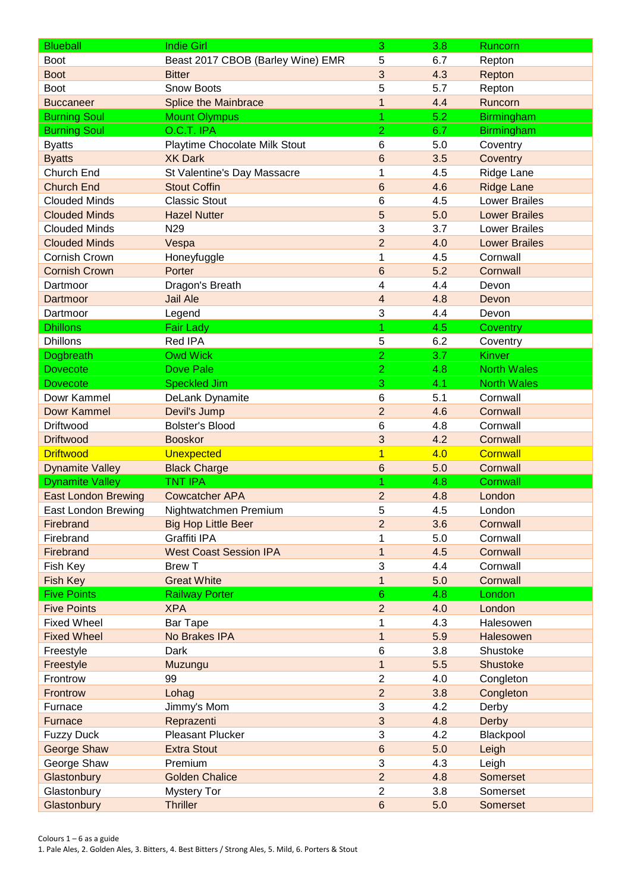| <b>Blueball</b>                 | <b>Indie Girl</b>                 | 3                       | 3.8 | Runcorn              |
|---------------------------------|-----------------------------------|-------------------------|-----|----------------------|
| <b>Boot</b>                     | Beast 2017 CBOB (Barley Wine) EMR | 5                       | 6.7 | Repton               |
| <b>Boot</b>                     | <b>Bitter</b>                     | 3                       | 4.3 | Repton               |
| <b>Boot</b>                     | <b>Snow Boots</b>                 | 5                       | 5.7 | Repton               |
| <b>Buccaneer</b>                | <b>Splice the Mainbrace</b>       | $\mathbf{1}$            | 4.4 | Runcorn              |
| <b>Burning Soul</b>             | <b>Mount Olympus</b>              | 1                       | 5.2 | <b>Birmingham</b>    |
| <b>Burning Soul</b>             | $O.C.T.$ IPA                      | $\overline{2}$          | 6.7 | <b>Birmingham</b>    |
| <b>Byatts</b>                   | Playtime Chocolate Milk Stout     | 6                       | 5.0 | Coventry             |
| <b>Byatts</b>                   | <b>XK Dark</b>                    | 6                       | 3.5 | Coventry             |
| Church End                      | St Valentine's Day Massacre       | 1                       | 4.5 | Ridge Lane           |
| <b>Church End</b>               | <b>Stout Coffin</b>               | 6                       | 4.6 | <b>Ridge Lane</b>    |
| <b>Clouded Minds</b>            | <b>Classic Stout</b>              | 6                       | 4.5 | <b>Lower Brailes</b> |
| <b>Clouded Minds</b>            | <b>Hazel Nutter</b>               | 5                       | 5.0 | <b>Lower Brailes</b> |
| <b>Clouded Minds</b>            | N <sub>29</sub>                   | 3                       | 3.7 | <b>Lower Brailes</b> |
| <b>Clouded Minds</b>            | Vespa                             | $\overline{2}$          | 4.0 | <b>Lower Brailes</b> |
| Cornish Crown                   | Honeyfuggle                       | 1                       | 4.5 | Cornwall             |
| <b>Cornish Crown</b>            | Porter                            | 6                       | 5.2 | Cornwall             |
| Dartmoor                        | Dragon's Breath                   | 4                       | 4.4 | Devon                |
| Dartmoor                        | <b>Jail Ale</b>                   | $\overline{\mathbf{4}}$ | 4.8 | Devon                |
| Dartmoor                        | Legend                            | 3                       | 4.4 | Devon                |
| <b>Dhillons</b>                 | <b>Fair Lady</b>                  | 1                       | 4.5 | Coventry             |
| <b>Dhillons</b>                 | <b>Red IPA</b>                    | 5                       | 6.2 | Coventry             |
| Dogbreath                       | <b>Owd Wick</b>                   | $\overline{2}$          | 3.7 | Kinver               |
| <b>Dovecote</b>                 | <b>Dove Pale</b>                  | $\overline{2}$          | 4.8 | <b>North Wales</b>   |
| <b>Dovecote</b>                 | <b>Speckled Jim</b>               | 3                       | 4.1 | <b>North Wales</b>   |
| Dowr Kammel                     |                                   | 6                       | 5.1 | Cornwall             |
|                                 | DeLank Dynamite                   |                         |     |                      |
| <b>Dowr Kammel</b><br>Driftwood | Devil's Jump                      | $\overline{2}$          | 4.6 | Cornwall<br>Cornwall |
|                                 | <b>Bolster's Blood</b>            | 6                       | 4.8 |                      |
| <b>Driftwood</b>                | <b>Booskor</b>                    | 3                       | 4.2 | Cornwall             |
| <b>Driftwood</b>                | <b>Unexpected</b>                 | $\overline{1}$          | 4.0 | <b>Cornwall</b>      |
| <b>Dynamite Valley</b>          | <b>Black Charge</b>               | 6                       | 5.0 | Cornwall             |
| <b>Dynamite Valley</b>          | <b>TNT IPA</b>                    | 1                       | 4.8 | <b>Cornwall</b>      |
| <b>East London Brewing</b>      | <b>Cowcatcher APA</b>             | $\overline{2}$          | 4.8 | London               |
| East London Brewing             | Nightwatchmen Premium             | 5                       | 4.5 | London               |
| Firebrand                       | <b>Big Hop Little Beer</b>        | $\overline{2}$          | 3.6 | Cornwall             |
| Firebrand                       | Graffiti IPA                      | 1                       | 5.0 | Cornwall             |
| Firebrand                       | <b>West Coast Session IPA</b>     | $\mathbf{1}$            | 4.5 | Cornwall             |
| Fish Key                        | <b>Brew T</b>                     | 3                       | 4.4 | Cornwall             |
| Fish Key                        | <b>Great White</b>                | $\mathbf{1}$            | 5.0 | Cornwall             |
| <b>Five Points</b>              | <b>Railway Porter</b>             | $\,$ 6                  | 4.8 | London               |
| <b>Five Points</b>              | <b>XPA</b>                        | $\overline{2}$          | 4.0 | London               |
| <b>Fixed Wheel</b>              | <b>Bar Tape</b>                   | 1                       | 4.3 | Halesowen            |
| <b>Fixed Wheel</b>              | No Brakes IPA                     | $\mathbf{1}$            | 5.9 | Halesowen            |
| Freestyle                       | Dark                              | 6                       | 3.8 | Shustoke             |
| Freestyle                       | Muzungu                           | $\mathbf 1$             | 5.5 | Shustoke             |
| Frontrow                        | 99                                | $\overline{2}$          | 4.0 | Congleton            |
| Frontrow                        | Lohag                             | $\overline{2}$          | 3.8 | Congleton            |
| Furnace                         | Jimmy's Mom                       | 3                       | 4.2 | Derby                |
| Furnace                         | Reprazenti                        | 3                       | 4.8 | Derby                |
| <b>Fuzzy Duck</b>               | <b>Pleasant Plucker</b>           | 3                       | 4.2 | Blackpool            |
| <b>George Shaw</b>              | <b>Extra Stout</b>                | 6                       | 5.0 | Leigh                |
| George Shaw                     | Premium                           | 3                       | 4.3 | Leigh                |
| Glastonbury                     | <b>Golden Chalice</b>             | $\overline{2}$          | 4.8 | Somerset             |
| Glastonbury                     | <b>Mystery Tor</b>                | $\overline{c}$          | 3.8 | Somerset             |
| Glastonbury                     | <b>Thriller</b>                   | $\,6$                   | 5.0 | Somerset             |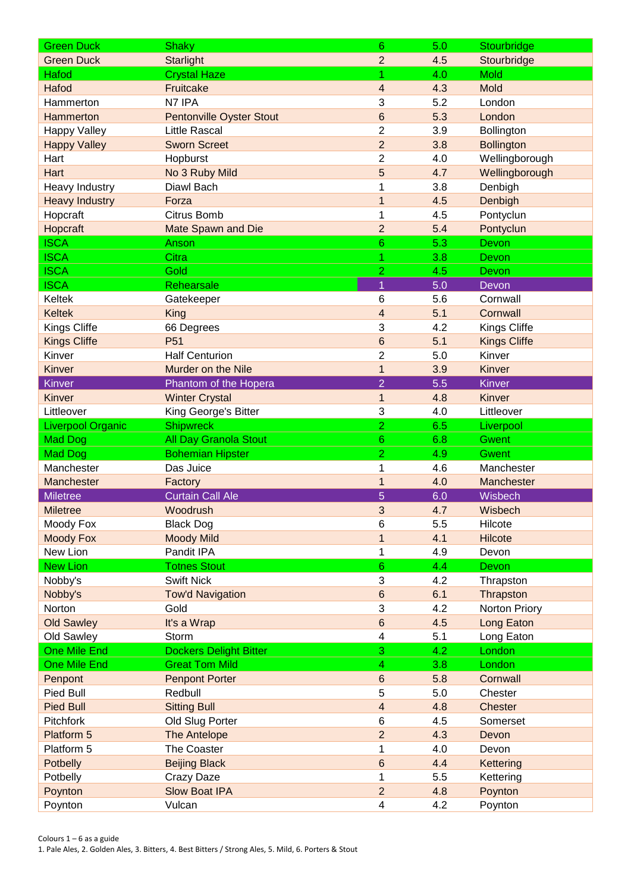| <b>Green Duck</b>        | <b>Shaky</b>                     | 6                            | 5.0 | Stourbridge         |
|--------------------------|----------------------------------|------------------------------|-----|---------------------|
| <b>Green Duck</b>        | <b>Starlight</b>                 | $\overline{2}$               | 4.5 | Stourbridge         |
| Hafod                    | <b>Crystal Haze</b>              | 1                            | 4.0 | <b>Mold</b>         |
| Hafod                    | Fruitcake                        | 4                            | 4.3 | Mold                |
| Hammerton                | N7 IPA                           | 3                            | 5.2 | London              |
| Hammerton                | <b>Pentonville Oyster Stout</b>  | 6                            | 5.3 | London              |
| <b>Happy Valley</b>      | <b>Little Rascal</b>             | $\overline{2}$               | 3.9 | Bollington          |
| <b>Happy Valley</b>      | <b>Sworn Screet</b>              | $\overline{2}$               | 3.8 | <b>Bollington</b>   |
| Hart                     | Hopburst                         | $\overline{2}$               | 4.0 | Wellingborough      |
| Hart                     | No 3 Ruby Mild                   | 5                            | 4.7 | Wellingborough      |
| <b>Heavy Industry</b>    | Diawl Bach                       | 1                            | 3.8 | Denbigh             |
| <b>Heavy Industry</b>    | Forza                            | $\overline{1}$               | 4.5 | Denbigh             |
| Hopcraft                 | Citrus Bomb                      | 1                            | 4.5 | Pontyclun           |
| Hopcraft                 | Mate Spawn and Die               | $\overline{2}$               | 5.4 | Pontyclun           |
| <b>ISCA</b>              | Anson                            | 6                            | 5.3 | Devon               |
| <b>ISCA</b>              | Citra                            | 1                            | 3.8 | Devon               |
| <b>ISCA</b>              | Gold                             | $\overline{2}$               | 4.5 | Devon               |
| <b>ISCA</b>              | Rehearsale                       | $\overline{1}$               | 5.0 | Devon               |
| Keltek                   | Gatekeeper                       | 6                            | 5.6 | Cornwall            |
| <b>Keltek</b>            | King                             | 4                            | 5.1 | Cornwall            |
| <b>Kings Cliffe</b>      | 66 Degrees                       | 3                            | 4.2 | Kings Cliffe        |
| <b>Kings Cliffe</b>      | P <sub>51</sub>                  | 6                            | 5.1 | <b>Kings Cliffe</b> |
| Kinver                   | <b>Half Centurion</b>            | $\overline{2}$               | 5.0 | Kinver              |
| Kinver                   | Murder on the Nile               | $\mathbf{1}$                 | 3.9 | Kinver              |
| Kinver                   | Phantom of the Hopera            | $\overline{2}$               | 5.5 | <b>Kinver</b>       |
| Kinver                   | <b>Winter Crystal</b>            | $\mathbf{1}$                 | 4.8 | Kinver              |
| Littleover               | King George's Bitter             | 3                            | 4.0 | Littleover          |
| <b>Liverpool Organic</b> | <b>Shipwreck</b>                 | $\overline{2}$               | 6.5 | Liverpool           |
| <b>Mad Dog</b>           | <b>All Day Granola Stout</b>     | $6\phantom{1}$               | 6.8 | <b>Gwent</b>        |
| <b>Mad Dog</b>           | <b>Bohemian Hipster</b>          | $\overline{2}$               | 4.9 | <b>Gwent</b>        |
| Manchester               | Das Juice                        | 1                            | 4.6 | Manchester          |
| Manchester               | Factory                          | 1                            | 4.0 | Manchester          |
| Miletree                 | <b>Curtain Call Ale</b>          | 5                            | 6.0 | Wisbech             |
| <b>Miletree</b>          | Woodrush                         | 3                            | 4.7 | Wisbech             |
| Moody Fox                | <b>Black Dog</b>                 | 6                            | 5.5 | Hilcote             |
| <b>Moody Fox</b>         | <b>Moody Mild</b>                | $\mathbf 1$                  | 4.1 | Hilcote             |
| New Lion                 | Pandit IPA                       | 1                            | 4.9 | Devon               |
| <b>New Lion</b>          | <b>Totnes Stout</b>              | $6\phantom{1}$               | 4.4 | Devon               |
| Nobby's                  | <b>Swift Nick</b>                | 3                            | 4.2 | Thrapston           |
| Nobby's                  | <b>Tow'd Navigation</b>          | $\,6$                        | 6.1 | Thrapston           |
| Norton                   | Gold                             | 3                            | 4.2 | Norton Priory       |
| <b>Old Sawley</b>        | It's a Wrap                      | 6                            | 4.5 | Long Eaton          |
| Old Sawley               | Storm                            | $\overline{\mathbf{4}}$      | 5.1 | Long Eaton          |
| <b>One Mile End</b>      | <b>Dockers Delight Bitter</b>    | 3                            | 4.2 |                     |
| <b>One Mile End</b>      | <b>Great Tom Mild</b>            | $\overline{\mathbf{4}}$      | 3.8 | London<br>London    |
|                          |                                  | $\,6$                        | 5.8 | Cornwall            |
| Penpont                  | <b>Penpont Porter</b><br>Redbull |                              | 5.0 |                     |
| Pied Bull                |                                  | 5<br>$\overline{\mathbf{4}}$ |     | Chester             |
| Pied Bull                | <b>Sitting Bull</b>              |                              | 4.8 | <b>Chester</b>      |
| Pitchfork                | Old Slug Porter                  | 6                            | 4.5 | Somerset            |
| Platform 5               | The Antelope                     | $\overline{2}$               | 4.3 | Devon               |
| Platform 5               | The Coaster                      | 1                            | 4.0 | Devon               |
| Potbelly                 | <b>Beijing Black</b>             | 6                            | 4.4 | Kettering           |
| Potbelly                 | Crazy Daze                       | 1                            | 5.5 | Kettering           |
| Poynton                  | <b>Slow Boat IPA</b>             | $\overline{2}$               | 4.8 | Poynton             |
| Poynton                  | Vulcan                           | $\overline{\mathbf{4}}$      | 4.2 | Poynton             |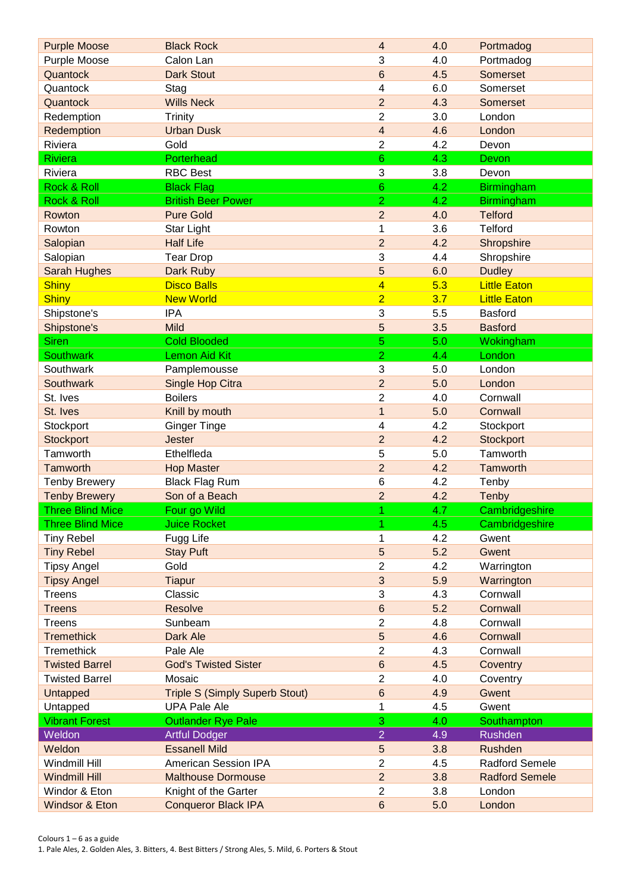| <b>Purple Moose</b>     | <b>Black Rock</b>                     | 4                       | 4.0 | Portmadog             |
|-------------------------|---------------------------------------|-------------------------|-----|-----------------------|
| Purple Moose            | Calon Lan                             | 3                       | 4.0 | Portmadog             |
| Quantock                | <b>Dark Stout</b>                     | 6                       | 4.5 | Somerset              |
| Quantock                | Stag                                  | 4                       | 6.0 | Somerset              |
| Quantock                | <b>Wills Neck</b>                     | $\overline{2}$          | 4.3 | Somerset              |
| Redemption              | Trinity                               | $\overline{c}$          | 3.0 | London                |
| Redemption              | <b>Urban Dusk</b>                     | $\overline{\mathbf{4}}$ | 4.6 | London                |
| Riviera                 | Gold                                  | $\overline{2}$          | 4.2 | Devon                 |
| <b>Riviera</b>          | Porterhead                            | 6                       | 4.3 | Devon                 |
| Riviera                 | <b>RBC Best</b>                       | 3                       | 3.8 | Devon                 |
| Rock & Roll             | <b>Black Flag</b>                     | $6\phantom{1}$          | 4.2 | <b>Birmingham</b>     |
| Rock & Roll             | <b>British Beer Power</b>             | $\overline{2}$          | 4.2 | <b>Birmingham</b>     |
| Rowton                  | <b>Pure Gold</b>                      | $\overline{2}$          | 4.0 | <b>Telford</b>        |
| Rowton                  | Star Light                            | 1                       | 3.6 | <b>Telford</b>        |
| Salopian                | <b>Half Life</b>                      | $\overline{2}$          | 4.2 | Shropshire            |
| Salopian                | <b>Tear Drop</b>                      | 3                       | 4.4 | Shropshire            |
| <b>Sarah Hughes</b>     | Dark Ruby                             | 5                       | 6.0 | <b>Dudley</b>         |
| <b>Shiny</b>            | <b>Disco Balls</b>                    | $\overline{\mathbf{4}}$ | 5.3 | <b>Little Eaton</b>   |
| <b>Shiny</b>            | <b>New World</b>                      | $\overline{2}$          | 3.7 | <b>Little Eaton</b>   |
| Shipstone's             | <b>IPA</b>                            | 3                       | 5.5 | Basford               |
| Shipstone's             | Mild                                  | 5                       | 3.5 | <b>Basford</b>        |
| <b>Siren</b>            | <b>Cold Blooded</b>                   | 5                       | 5.0 | Wokingham             |
| <b>Southwark</b>        | <b>Lemon Aid Kit</b>                  | $\overline{a}$          | 4.4 | London                |
| Southwark               | Pamplemousse                          | 3                       | 5.0 | London                |
| Southwark               | Single Hop Citra                      | $\overline{2}$          | 5.0 | London                |
| St. Ives                | <b>Boilers</b>                        | $\overline{c}$          | 4.0 | Cornwall              |
| St. Ives                | Knill by mouth                        | $\overline{1}$          | 5.0 | Cornwall              |
| Stockport               | <b>Ginger Tinge</b>                   | 4                       | 4.2 | Stockport             |
| Stockport               | <b>Jester</b>                         | $\overline{2}$          | 4.2 | <b>Stockport</b>      |
| Tamworth                | Ethelfleda                            | 5                       | 5.0 | Tamworth              |
| <b>Tamworth</b>         | <b>Hop Master</b>                     | $\overline{2}$          | 4.2 | Tamworth              |
| <b>Tenby Brewery</b>    | <b>Black Flag Rum</b>                 | 6                       | 4.2 | Tenby                 |
| <b>Tenby Brewery</b>    | Son of a Beach                        | $\overline{2}$          | 4.2 | Tenby                 |
| <b>Three Blind Mice</b> | Four go Wild                          | 1                       | 4.7 | Cambridgeshire        |
| <b>Three Blind Mice</b> | <b>Juice Rocket</b>                   | 1                       | 4.5 | Cambridgeshire        |
| <b>Tiny Rebel</b>       | Fugg Life                             | 1                       | 4.2 | Gwent                 |
| <b>Tiny Rebel</b>       | <b>Stay Puft</b>                      | 5                       | 5.2 | Gwent                 |
| <b>Tipsy Angel</b>      | Gold                                  | $\overline{2}$          | 4.2 | Warrington            |
| <b>Tipsy Angel</b>      | <b>Tiapur</b>                         | 3                       | 5.9 | Warrington            |
| Treens                  | Classic                               | 3                       | 4.3 | Cornwall              |
| <b>Treens</b>           | <b>Resolve</b>                        | $\,6$                   | 5.2 | Cornwall              |
| Treens                  | Sunbeam                               | $\overline{2}$          | 4.8 | Cornwall              |
| <b>Tremethick</b>       | Dark Ale                              | 5                       | 4.6 | Cornwall              |
| Tremethick              | Pale Ale                              | $\overline{c}$          | 4.3 | Cornwall              |
| <b>Twisted Barrel</b>   | <b>God's Twisted Sister</b>           | $\,6$                   | 4.5 | Coventry              |
| <b>Twisted Barrel</b>   | Mosaic                                | $\overline{2}$          | 4.0 | Coventry              |
| <b>Untapped</b>         | <b>Triple S (Simply Superb Stout)</b> | 6                       | 4.9 | Gwent                 |
| Untapped                | <b>UPA Pale Ale</b>                   | $\mathbf{1}$            | 4.5 | Gwent                 |
| <b>Vibrant Forest</b>   | <b>Outlander Rye Pale</b>             | 3                       | 4.0 | Southampton           |
| Weldon                  | <b>Artful Dodger</b>                  | $\overline{2}$          | 4.9 | <b>Rushden</b>        |
| Weldon                  | <b>Essanell Mild</b>                  | $\sqrt{5}$              | 3.8 | Rushden               |
| Windmill Hill           | American Session IPA                  | $\overline{2}$          | 4.5 | Radford Semele        |
| <b>Windmill Hill</b>    | <b>Malthouse Dormouse</b>             | $\overline{2}$          | 3.8 | <b>Radford Semele</b> |
| Windor & Eton           | Knight of the Garter                  | $\overline{c}$          | 3.8 | London                |
|                         |                                       |                         |     |                       |
| Windsor & Eton          | <b>Conqueror Black IPA</b>            | $\,6$                   | 5.0 | London                |